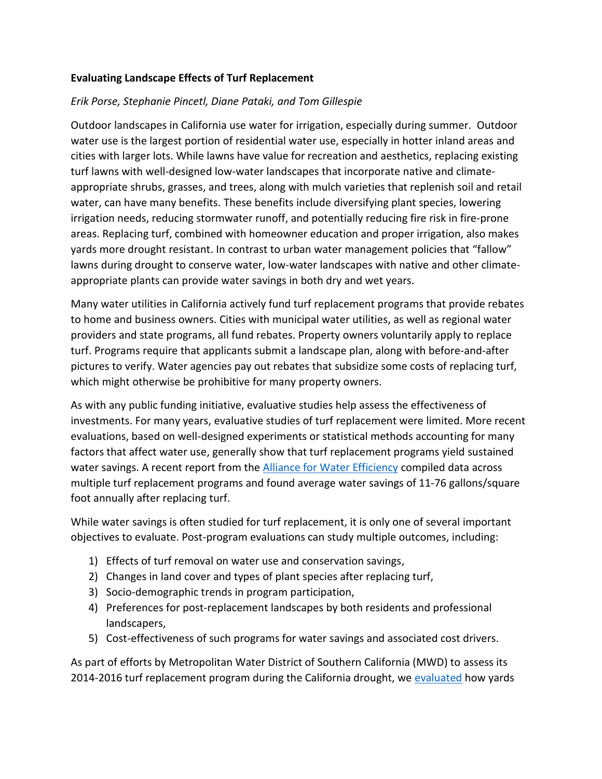## **Evaluating Landscape Effects of Turf Replacement**

## *Erik Porse, Stephanie Pincetl, Diane Pataki, and Tom Gillespie*

Outdoor landscapes in California use water for irrigation, especially during summer. Outdoor water use is the largest portion of residential water use, especially in hotter inland areas and cities with larger lots. While lawns have value for recreation and aesthetics, replacing existing turf lawns with well-designed low-water landscapes that incorporate native and climateappropriate shrubs, grasses, and trees, along with mulch varieties that replenish soil and retail water, can have many benefits. These benefits include diversifying plant species, lowering irrigation needs, reducing stormwater runoff, and potentially reducing fire risk in fire-prone areas. Replacing turf, combined with homeowner education and proper irrigation, also makes yards more drought resistant. In contrast to urban water management policies that "fallow" lawns during drought to conserve water, low-water landscapes with native and other climateappropriate plants can provide water savings in both dry and wet years.

Many water utilities in California actively fund turf replacement programs that provide rebates to home and business owners. Cities with municipal water utilities, as well as regional water providers and state programs, all fund rebates. Property owners voluntarily apply to replace turf. Programs require that applicants submit a landscape plan, along with before-and-after pictures to verify. Water agencies pay out rebates that subsidize some costs of replacing turf, which might otherwise be prohibitive for many property owners.

As with any public funding initiative, evaluative studies help assess the effectiveness of investments. For many years, evaluative studies of turf replacement were limited. More recent evaluations, based on well-designed experiments or statistical methods accounting for many factors that affect water use, generally show that turf replacement programs yield sustained water savings. A recent report from the **Alliance for Water Efficiency** compiled data across multiple turf replacement programs and found average water savings of 11-76 gallons/square foot annually after replacing turf.

While water savings is often studied for turf replacement, it is only one of several important objectives to evaluate. Post-program evaluations can study multiple outcomes, including:

- 1) Effects of turf removal on water use and conservation savings,
- 2) Changes in land cover and types of plant species after replacing turf,
- 3) Socio-demographic trends in program participation,
- 4) Preferences for post-replacement landscapes by both residents and professional landscapers,
- 5) Cost-effectiveness of such programs for water savings and associated cost drivers.

As part of efforts by Metropolitan Water District of Southern California (MWD) to assess its 2014-2016 turf replacement program during the California drought, we [evaluated](https://www.sciencedirect.com/science/article/pii/S0169204619301343) how yards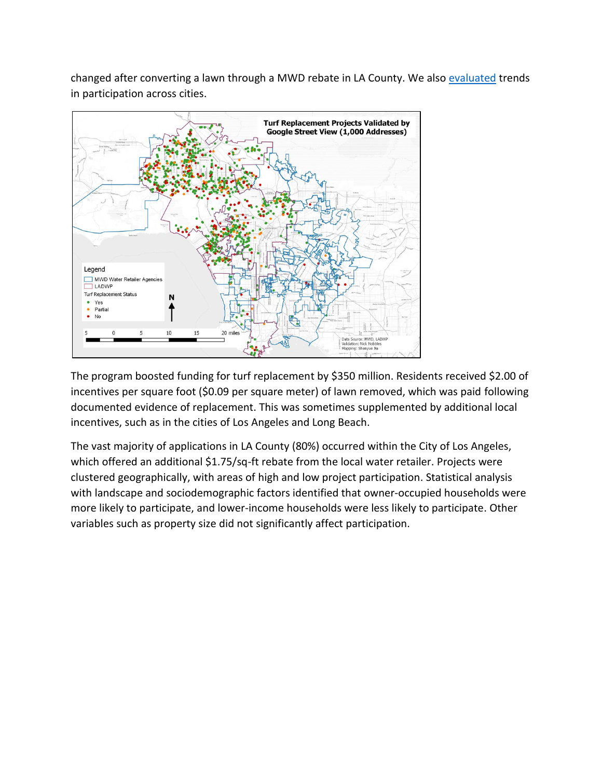changed after converting a lawn through a MWD rebate in LA County. We also [evaluated](https://www.ioes.ucla.edu/project/ecological-and-environmental-effects-of-metropolitans-turf-replacement-program-2009%E2%80%902015/) trends in participation across cities.



The program boosted funding for turf replacement by \$350 million. Residents received \$2.00 of incentives per square foot (\$0.09 per square meter) of lawn removed, which was paid following documented evidence of replacement. This was sometimes supplemented by additional local incentives, such as in the cities of Los Angeles and Long Beach.

The vast majority of applications in LA County (80%) occurred within the City of Los Angeles, which offered an additional \$1.75/sq-ft rebate from the local water retailer. Projects were clustered geographically, with areas of high and low project participation. Statistical analysis with landscape and sociodemographic factors identified that owner-occupied households were more likely to participate, and lower-income households were less likely to participate. Other variables such as property size did not significantly affect participation.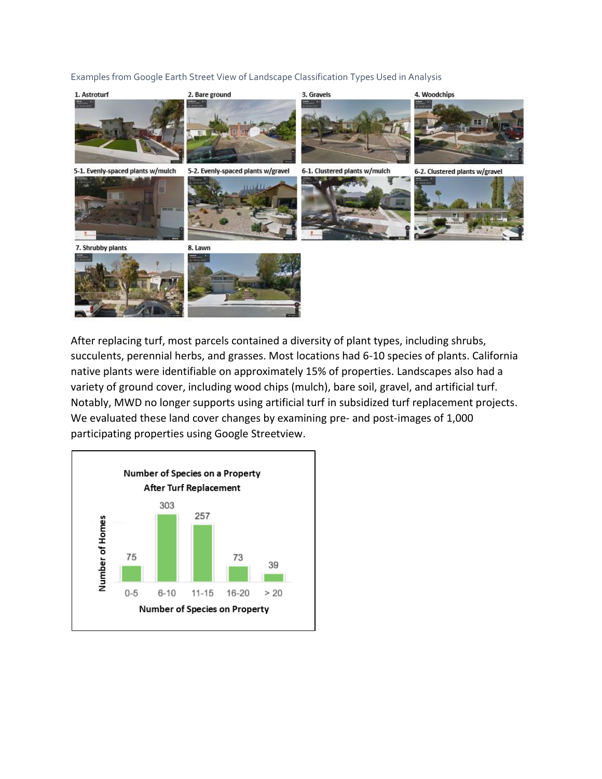Examples from Google Earth Street View of Landscape Classification Types Used in Analysis



After replacing turf, most parcels contained a diversity of plant types, including shrubs, succulents, perennial herbs, and grasses. Most locations had 6-10 species of plants. California native plants were identifiable on approximately 15% of properties. Landscapes also had a variety of ground cover, including wood chips (mulch), bare soil, gravel, and artificial turf. Notably, MWD no longer supports using artificial turf in subsidized turf replacement projects. We evaluated these land cover changes by examining pre- and post-images of 1,000 participating properties using Google Streetview.

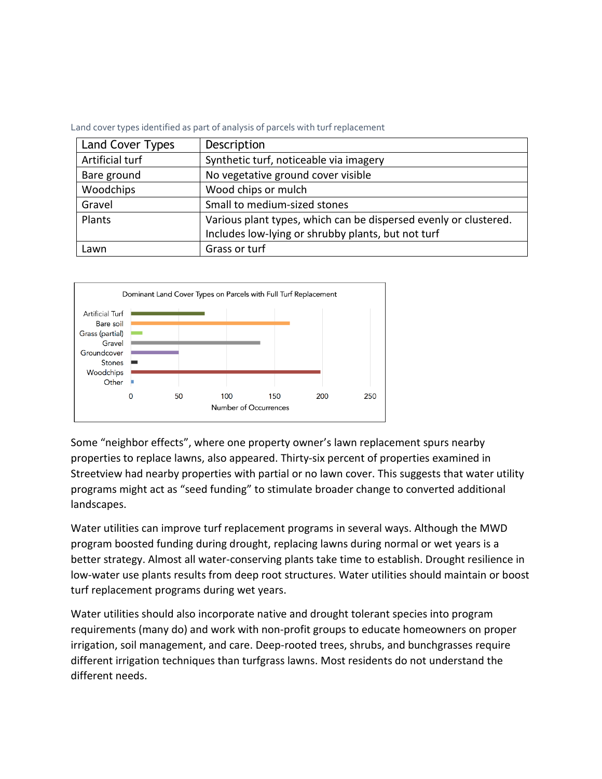| Land cover types identified as part of analysis of parcels with turf replacement |  |
|----------------------------------------------------------------------------------|--|
|                                                                                  |  |
|                                                                                  |  |
|                                                                                  |  |

| <b>Land Cover Types</b> | Description                                                      |
|-------------------------|------------------------------------------------------------------|
| Artificial turf         | Synthetic turf, noticeable via imagery                           |
| Bare ground             | No vegetative ground cover visible                               |
| Woodchips               | Wood chips or mulch                                              |
| Gravel                  | Small to medium-sized stones                                     |
| Plants                  | Various plant types, which can be dispersed evenly or clustered. |
|                         | Includes low-lying or shrubby plants, but not turf               |
| Lawn                    | Grass or turf                                                    |



Some "neighbor effects", where one property owner's lawn replacement spurs nearby properties to replace lawns, also appeared. Thirty-six percent of properties examined in Streetview had nearby properties with partial or no lawn cover. This suggests that water utility programs might act as "seed funding" to stimulate broader change to converted additional landscapes.

Water utilities can improve turf replacement programs in several ways. Although the MWD program boosted funding during drought, replacing lawns during normal or wet years is a better strategy. Almost all water-conserving plants take time to establish. Drought resilience in low-water use plants results from deep root structures. Water utilities should maintain or boost turf replacement programs during wet years.

Water utilities should also incorporate native and drought tolerant species into program requirements (many do) and work with non-profit groups to educate homeowners on proper irrigation, soil management, and care. Deep-rooted trees, shrubs, and bunchgrasses require different irrigation techniques than turfgrass lawns. Most residents do not understand the different needs.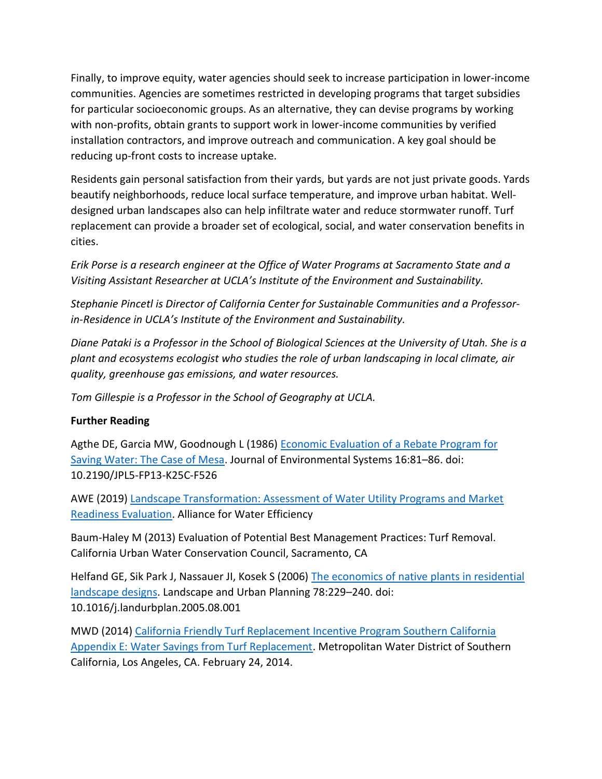Finally, to improve equity, water agencies should seek to increase participation in lower-income communities. Agencies are sometimes restricted in developing programs that target subsidies for particular socioeconomic groups. As an alternative, they can devise programs by working with non-profits, obtain grants to support work in lower-income communities by verified installation contractors, and improve outreach and communication. A key goal should be reducing up-front costs to increase uptake.

Residents gain personal satisfaction from their yards, but yards are not just private goods. Yards beautify neighborhoods, reduce local surface temperature, and improve urban habitat. Welldesigned urban landscapes also can help infiltrate water and reduce stormwater runoff. Turf replacement can provide a broader set of ecological, social, and water conservation benefits in cities.

*Erik Porse is a research engineer at the Office of Water Programs at Sacramento State and a Visiting Assistant Researcher at UCLA's Institute of the Environment and Sustainability.*

*Stephanie Pincetl is Director of California Center for Sustainable Communities and a Professorin-Residence in UCLA's Institute of the Environment and Sustainability.*

*Diane Pataki is a Professor in the School of Biological Sciences at the University of Utah. She is a plant and ecosystems ecologist who studies the role of urban landscaping in local climate, air quality, greenhouse gas emissions, and water resources.*

*Tom Gillespie is a Professor in the School of Geography at UCLA.* 

## **Further Reading**

Agthe DE, Garcia MW, Goodnough L (1986) [Economic Evaluation of a Rebate Program for](https://triggered.clockss.org/ServeContent?url=http://baywood.stanford.clockss.org%2FBWES%2FBAWOOD_BWES_16_2%2FJPL5FP13K25CF526.pdf)  [Saving Water: The Case of Mesa.](https://triggered.clockss.org/ServeContent?url=http://baywood.stanford.clockss.org%2FBWES%2FBAWOOD_BWES_16_2%2FJPL5FP13K25CF526.pdf) Journal of Environmental Systems 16:81–86. doi: 10.2190/JPL5-FP13-K25C-F526

AWE (2019) [Landscape Transformation: Assessment of Water Utility Programs and Market](http://www.allianceforwaterefficiency.org/Landscape-Transformation-Study.aspx)  [Readiness Evaluation.](http://www.allianceforwaterefficiency.org/Landscape-Transformation-Study.aspx) Alliance for Water Efficiency

Baum-Haley M (2013) Evaluation of Potential Best Management Practices: Turf Removal. California Urban Water Conservation Council, Sacramento, CA

Helfand GE, Sik Park J, Nassauer JI, Kosek S (2006) [The economics of native plants in residential](https://deepblue.lib.umich.edu/bitstream/handle/2027.42/50426/HelfandParknassauer06.pd?sequence=1)  [landscape designs.](https://deepblue.lib.umich.edu/bitstream/handle/2027.42/50426/HelfandParknassauer06.pd?sequence=1) Landscape and Urban Planning 78:229–240. doi: 10.1016/j.landurbplan.2005.08.001

MWD (2014) [California Friendly Turf Replacement Incentive Program Southern California](https://www.usbr.gov/lc/socal/reports/MWDturfreduction.pdf)  [Appendix E: Water Savings from Turf Replacement.](https://www.usbr.gov/lc/socal/reports/MWDturfreduction.pdf) Metropolitan Water District of Southern California, Los Angeles, CA. February 24, 2014.